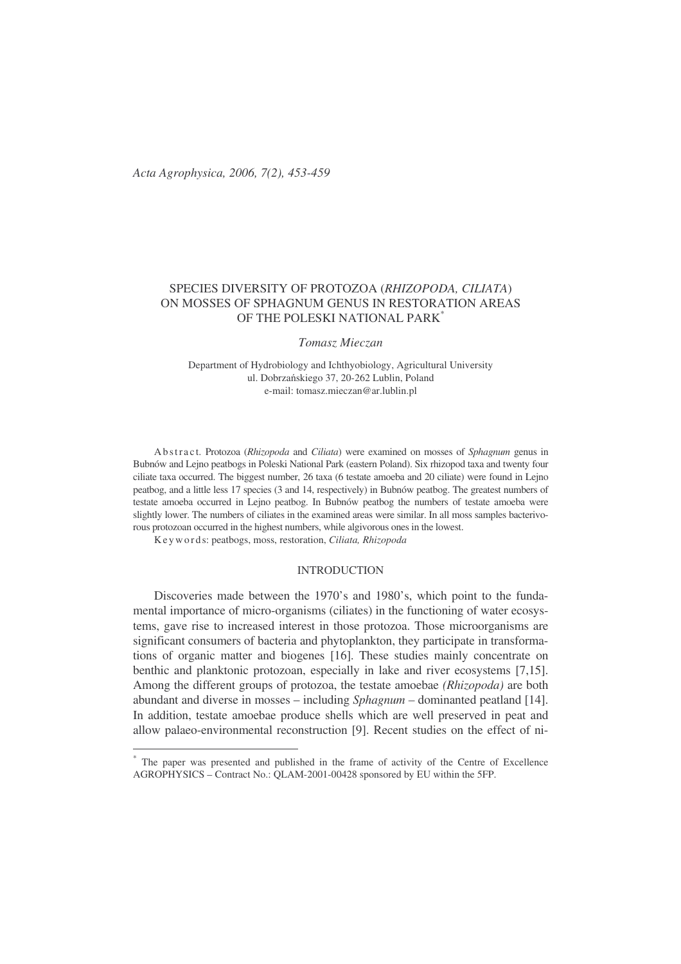# SPECIES DIVERSITY OF PROTOZOA (*RHIZOPODA, CILIATA*) ON MOSSES OF SPHAGNUM GENUS IN RESTORATION AREAS OF THE POLESKI NATIONAL PARK<sup>\*</sup>

*Tomasz Mieczan*

Department of Hydrobiology and Ichthyobiology, Agricultural University ul. Dobrzańskiego 37, 20-262 Lublin, Poland e-mail: tomasz.mieczan@ar.lublin.pl

Ab str a c t. Protozoa (*Rhizopoda* and *Ciliata*) were examined on mosses of *Sphagnum* genus in Bubnów and Lejno peatbogs in Poleski National Park (eastern Poland). Six rhizopod taxa and twenty four ciliate taxa occurred. The biggest number, 26 taxa (6 testate amoeba and 20 ciliate) were found in Lejno peatbog, and a little less 17 species (3 and 14, respectively) in Bubnów peatbog. The greatest numbers of testate amoeba occurred in Lejno peatbog. In Bubnów peatbog the numbers of testate amoeba were slightly lower. The numbers of ciliates in the examined areas were similar. In all moss samples bacterivorous protozoan occurred in the highest numbers, while algivorous ones in the lowest.

Ke y wo r d s: peatbogs, moss, restoration, *Ciliata, Rhizopoda*

# INTRODUCTION

Discoveries made between the 1970's and 1980's, which point to the fundamental importance of micro-organisms (ciliates) in the functioning of water ecosystems, gave rise to increased interest in those protozoa. Those microorganisms are significant consumers of bacteria and phytoplankton, they participate in transformations of organic matter and biogenes [16]. These studies mainly concentrate on benthic and planktonic protozoan, especially in lake and river ecosystems [7,15]. Among the different groups of protozoa, the testate amoebae *(Rhizopoda)* are both abundant and diverse in mosses – including *Sphagnum –* dominanted peatland [14]. In addition, testate amoebae produce shells which are well preserved in peat and allow palaeo-environmental reconstruction [9]. Recent studies on the effect of ni-

<sup>\*</sup> The paper was presented and published in the frame of activity of the Centre of Excellence AGROPHYSICS – Contract No.: QLAM-2001-00428 sponsored by EU within the 5FP.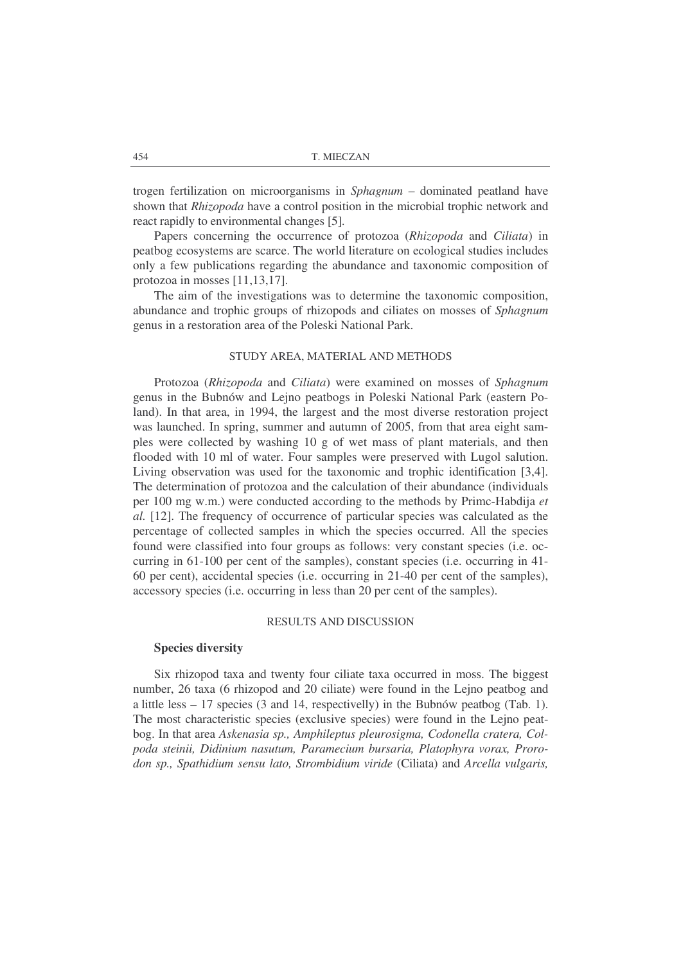trogen fertilization on microorganisms in *Sphagnum –* dominated peatland have shown that *Rhizopoda* have a control position in the microbial trophic network and react rapidly to environmental changes [5].

Papers concerning the occurrence of protozoa (*Rhizopoda* and *Ciliata*) in peatbog ecosystems are scarce. The world literature on ecological studies includes only a few publications regarding the abundance and taxonomic composition of protozoa in mosses [11,13,17].

The aim of the investigations was to determine the taxonomic composition, abundance and trophic groups of rhizopods and ciliates on mosses of *Sphagnum* genus in a restoration area of the Poleski National Park.

## STUDY AREA, MATERIAL AND METHODS

Protozoa (*Rhizopoda* and *Ciliata*) were examined on mosses of *Sphagnum* genus in the Bubnów and Lejno peatbogs in Poleski National Park (eastern Poland). In that area, in 1994, the largest and the most diverse restoration project was launched. In spring, summer and autumn of 2005, from that area eight samples were collected by washing 10 g of wet mass of plant materials, and then flooded with 10 ml of water. Four samples were preserved with Lugol salution. Living observation was used for the taxonomic and trophic identification [3,4]. The determination of protozoa and the calculation of their abundance (individuals per 100 mg w.m.) were conducted according to the methods by Primc-Habdija *et al.* [12]. The frequency of occurrence of particular species was calculated as the percentage of collected samples in which the species occurred. All the species found were classified into four groups as follows: very constant species (i.e. occurring in 61-100 per cent of the samples), constant species (i.e. occurring in 41- 60 per cent), accidental species (i.e. occurring in 21-40 per cent of the samples), accessory species (i.e. occurring in less than 20 per cent of the samples).

# RESULTS AND DISCUSSION

#### **Species diversity**

Six rhizopod taxa and twenty four ciliate taxa occurred in moss. The biggest number, 26 taxa (6 rhizopod and 20 ciliate) were found in the Lejno peatbog and a little less  $-17$  species (3 and 14, respectivelly) in the Bubnów peatbog (Tab. 1). The most characteristic species (exclusive species) were found in the Lejno peatbog. In that area *Askenasia sp., Amphileptus pleurosigma, Codonella cratera, Colpoda steinii, Didinium nasutum, Paramecium bursaria, Platophyra vorax, Prorodon sp., Spathidium sensu lato, Strombidium viride* (Ciliata) and *Arcella vulgaris,*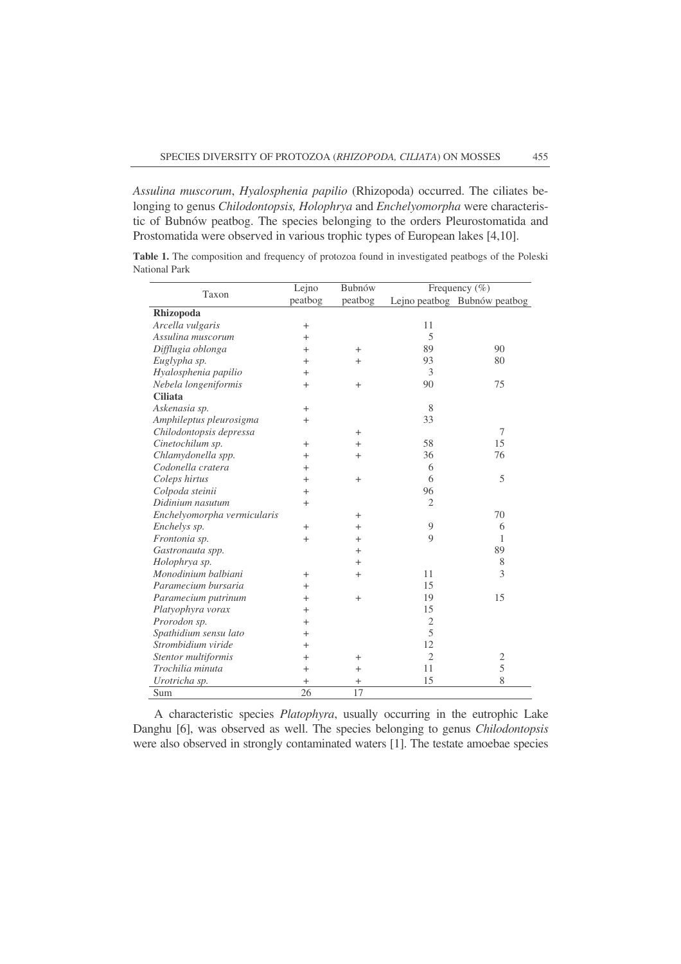*Assulina muscorum*, *Hyalosphenia papilio* (Rhizopoda) occurred. The ciliates belonging to genus *Chilodontopsis, Holophrya* and *Enchelyomorpha* were characteristic of Bubnów peatbog. The species belonging to the orders Pleurostomatida and Prostomatida were observed in various trophic types of European lakes [4,10].

| Taxon                       | Lejno      | Bubnów         | Frequency $(\% )$ |                              |
|-----------------------------|------------|----------------|-------------------|------------------------------|
|                             | peatbog    | peatbog        |                   | Lejno peatbog Bubnów peatbog |
| Rhizopoda                   |            |                |                   |                              |
| Arcella vulgaris            | $\ddot{}$  |                | 11                |                              |
| Assulina muscorum           | $^{+}$     |                | 5                 |                              |
| Difflugia oblonga           | $^{+}$     | $^{+}$         | 89                | 90                           |
| Euglypha sp.                | $^{+}$     | $^{+}$         | 93                | 80                           |
| Hyalosphenia papilio        | $^{+}$     |                | 3                 |                              |
| Nebela longeniformis        | $^{+}$     | $\overline{+}$ | 90                | 75                           |
| <b>Ciliata</b>              |            |                |                   |                              |
| Askenasia sp.               | $^{+}$     |                | 8                 |                              |
| Amphileptus pleurosigma     | $^{+}$     |                | 33                |                              |
| Chilodontopsis depressa     |            | $\overline{+}$ |                   | 7                            |
| Cinetochilum sp.            | $^{+}$     | $\overline{+}$ | 58                | 15                           |
| Chlamydonella spp.          | $^{+}$     | $^{+}$         | 36                | 76                           |
| Codonella cratera           | $^{+}$     |                | 6                 |                              |
| Coleps hirtus               | $^{+}$     | $+$            | 6                 | 5                            |
| Colpoda steinii             | $^{+}$     |                | 96                |                              |
| Didinium nasutum            | $^{+}$     |                | $\overline{2}$    |                              |
| Enchelyomorpha vermicularis |            | $^{+}$         |                   | 70                           |
| Enchelys sp.                | $^{+}$     | $\hbox{ }$     | 9                 | 6                            |
| Frontonia sp.               | $^{+}$     | $\, +$         | $\mathbf Q$       | 1                            |
| Gastronauta spp.            |            | $^{+}$         |                   | 89                           |
| Holophrya sp.               |            | $^{+}$         |                   | 8                            |
| Monodinium balbiani         | $^{+}$     | $^{+}$         | 11                | 3                            |
| Paramecium bursaria         | $^{+}$     |                | 15                |                              |
| Paramecium putrinum         | $\pm$      | $+$            | 19                | 15                           |
| Platyophyra vorax           | $^{+}$     |                | 15                |                              |
| Prorodon sp.                | $\hbox{ }$ |                | $\overline{c}$    |                              |
| Spathidium sensu lato       | $\hbox{ }$ |                | 5                 |                              |
| Strombidium viride          | $\pm$      |                | 12                |                              |
| Stentor multiformis         | $^{+}$     | $^{+}$         | $\overline{2}$    | $\overline{2}$               |
| Trochilia minuta            | $+$        | $^{+}$         | 11                | 5                            |
| Urotricha sp.               | $^{+}$     | $^+$           | 15                | 8                            |
| Sum                         | 26         | 17             |                   |                              |

**Table 1.** The composition and frequency of protozoa found in investigated peatbogs of the Poleski National Park

A characteristic species *Platophyra*, usually occurring in the eutrophic Lake Danghu [6], was observed as well. The species belonging to genus *Chilodontopsis* were also observed in strongly contaminated waters [1]. The testate amoebae species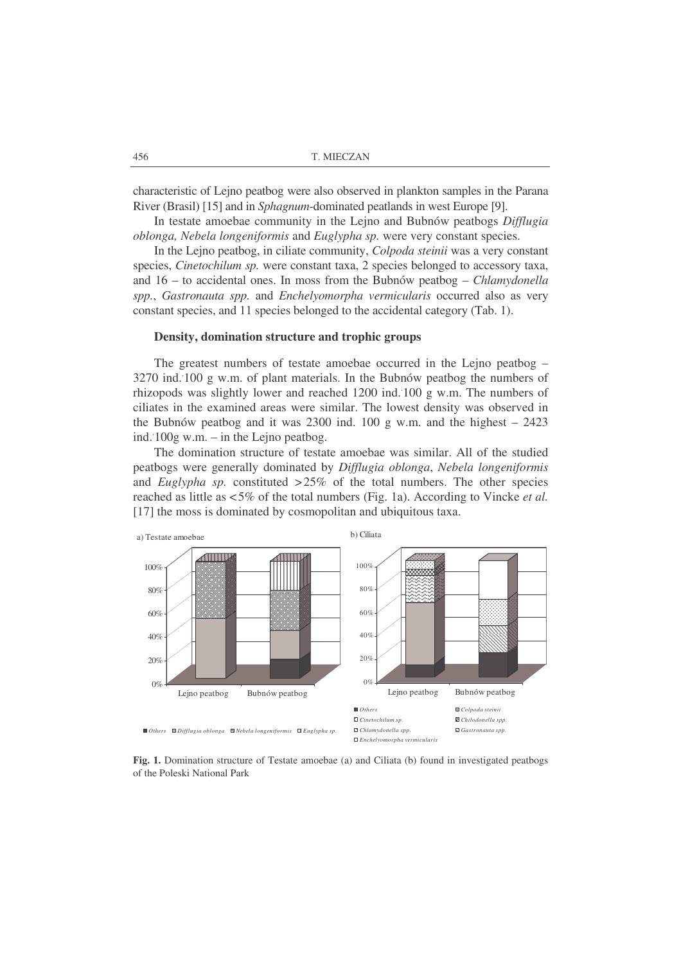characteristic of Lejno peatbog were also observed in plankton samples in the Parana River (Brasil) [15] and in *Sphagnum*-dominated peatlands in west Europe [9].

In testate amoebae community in the Lejno and Bubnów peatbogs *Difflugia oblonga, Nebela longeniformis* and *Euglypha sp.* were very constant species.

In the Lejno peatbog, in ciliate community, *Colpoda steinii* was a very constant species, *Cinetochilum sp.* were constant taxa, 2 species belonged to accessory taxa, and 16 – to accidental ones. In moss from the Bubnów peatbog – *Chlamydonella spp.*, *Gastronauta spp.* and *Enchelyomorpha vermicularis* occurred also as very constant species, and 11 species belonged to the accidental category (Tab. 1).

### **Density, domination structure and trophic groups**

The greatest numbers of testate amoebae occurred in the Lejno peatbog – 3270 ind. . 100 g w.m. of plant materials. In the Bubnów peatbog the numbers of rhizopods was slightly lower and reached 1200 ind. . 100 g w.m. The numbers of ciliates in the examined areas were similar. The lowest density was observed in the Bubnów peatbog and it was  $2300$  ind.  $100$  g w.m. and the highest –  $2423$ ind. . 100g w.m. – in the Lejno peatbog.

The domination structure of testate amoebae was similar. All of the studied peatbogs were generally dominated by *Difflugia oblonga*, *Nebela longeniformis* and *Euglypha sp.* constituted  $>25\%$  of the total numbers. The other species reached as little as <5% of the total numbers (Fig. 1a). According to Vincke *et al.* [17] the moss is dominated by cosmopolitan and ubiquitous taxa.



**Fig. 1.** Domination structure of Testate amoebae (a) and Ciliata (b) found in investigated peatbogs of the Poleski National Park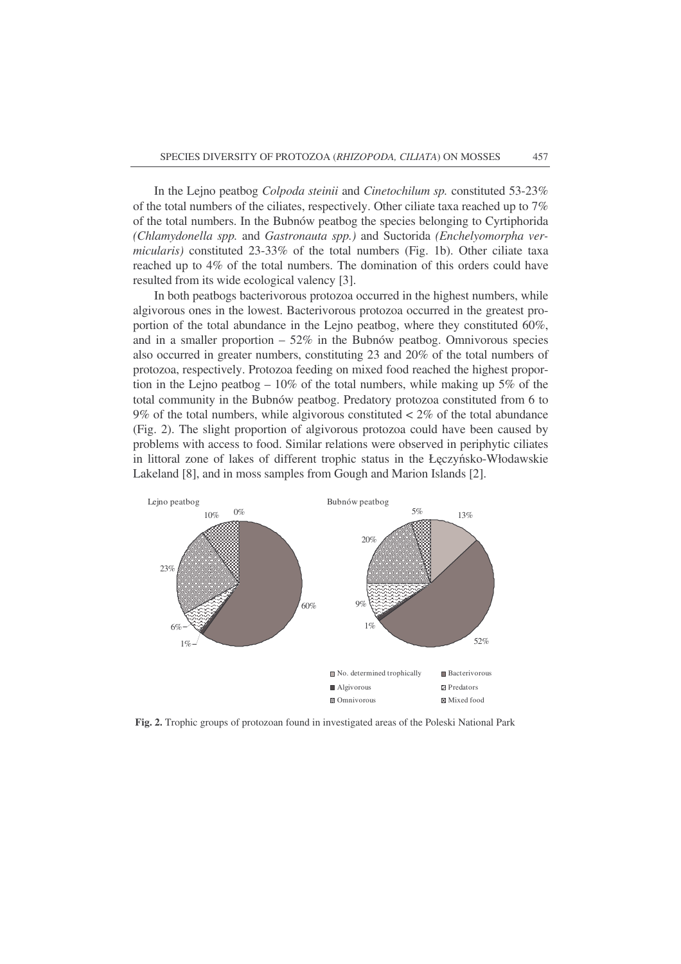In the Lejno peatbog *Colpoda steinii* and *Cinetochilum sp.* constituted 53-23% of the total numbers of the ciliates, respectively. Other ciliate taxa reached up to 7% of the total numbers. In the Bubnów peatbog the species belonging to Cyrtiphorida *(Chlamydonella spp.* and *Gastronauta spp.)* and Suctorida *(Enchelyomorpha vermicularis)* constituted 23-33% of the total numbers (Fig. 1b). Other ciliate taxa reached up to 4% of the total numbers. The domination of this orders could have resulted from its wide ecological valency [3].

In both peatbogs bacterivorous protozoa occurred in the highest numbers, while algivorous ones in the lowest. Bacterivorous protozoa occurred in the greatest proportion of the total abundance in the Lejno peatbog, where they constituted 60%, and in a smaller proportion  $-52\%$  in the Bubnów peatbog. Omnivorous species also occurred in greater numbers, constituting 23 and 20% of the total numbers of protozoa, respectively. Protozoa feeding on mixed food reached the highest proportion in the Lejno peatbog  $-10\%$  of the total numbers, while making up 5% of the total community in the Bubnów peatbog. Predatory protozoa constituted from 6 to 9% of the total numbers, while algivorous constituted  $\lt 2\%$  of the total abundance (Fig. 2). The slight proportion of algivorous protozoa could have been caused by problems with access to food. Similar relations were observed in periphytic ciliates in littoral zone of lakes of different trophic status in the Łęczyńsko-Włodawskie Lakeland [8], and in moss samples from Gough and Marion Islands [2].



**Fig. 2.** Trophic groups of protozoan found in investigated areas of the Poleski National Park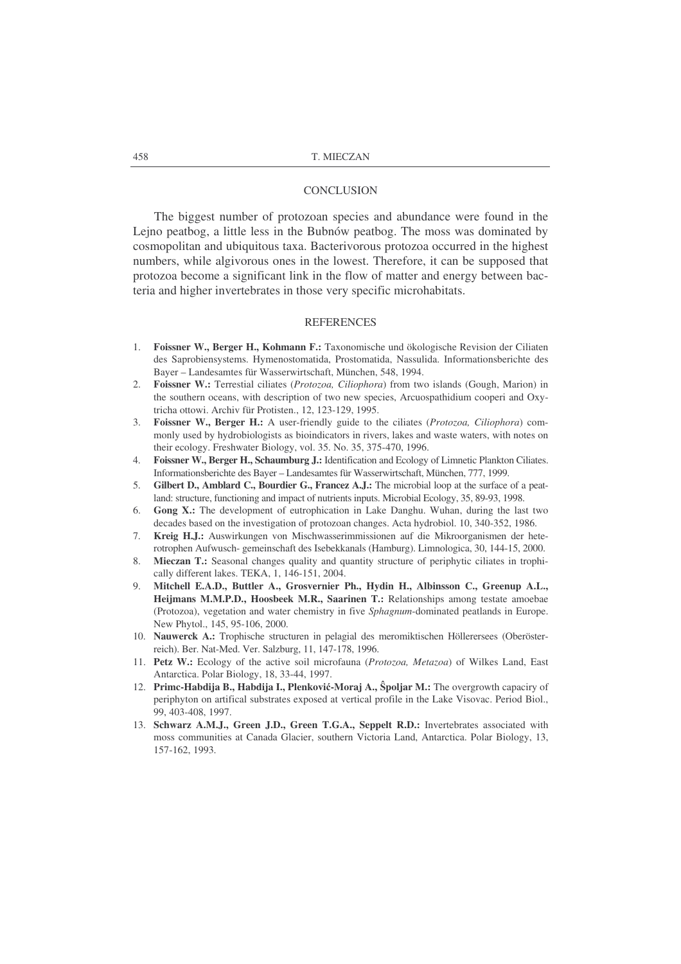#### **CONCLUSION**

The biggest number of protozoan species and abundance were found in the Lejno peatbog, a little less in the Bubnów peatbog. The moss was dominated by cosmopolitan and ubiquitous taxa. Bacterivorous protozoa occurred in the highest numbers, while algivorous ones in the lowest. Therefore, it can be supposed that protozoa become a significant link in the flow of matter and energy between bacteria and higher invertebrates in those very specific microhabitats.

### **REFERENCES**

- 1. **Foissner W., Berger H., Kohmann F.:** Taxonomische und ökologische Revision der Ciliaten des Saprobiensystems. Hymenostomatida, Prostomatida, Nassulida. Informationsberichte des Bayer – Landesamtes für Wasserwirtschaft, München, 548, 1994.
- 2. **Foissner W.:** Terrestial ciliates (*Protozoa, Ciliophora*) from two islands (Gough, Marion) in the southern oceans, with description of two new species, Arcuospathidium cooperi and Oxytricha ottowi. Archiv für Protisten., 12, 123-129, 1995.
- 3. **Foissner W., Berger H.:** A user-friendly guide to the ciliates (*Protozoa, Ciliophora*) commonly used by hydrobiologists as bioindicators in rivers, lakes and waste waters, with notes on their ecology. Freshwater Biology, vol. 35. No. 35, 375-470, 1996.
- 4. **Foissner W., Berger H., Schaumburg J.:** Identification and Ecology of Limnetic Plankton Ciliates. Informationsberichte des Bayer – Landesamtes für Wasserwirtschaft, München, 777, 1999.
- 5. **Gilbert D., Amblard C., Bourdier G., Francez A.J.:** The microbial loop at the surface of a peatland: structure, functioning and impact of nutrients inputs. Microbial Ecology, 35, 89-93, 1998.
- 6. **Gong X.:** The development of eutrophication in Lake Danghu. Wuhan, during the last two decades based on the investigation of protozoan changes. Acta hydrobiol. 10, 340-352, 1986.
- 7. **Kreig H.J.:** Auswirkungen von Mischwasserimmissionen auf die Mikroorganismen der heterotrophen Aufwusch- gemeinschaft des Isebekkanals (Hamburg). Limnologica, 30, 144-15, 2000.
- 8. **Mieczan T.:** Seasonal changes quality and quantity structure of periphytic ciliates in trophically different lakes. TEKA, 1, 146-151, 2004.
- 9. **Mitchell E.A.D., Buttler A., Grosvernier Ph., Hydin H., Albinsson C., Greenup A.L., Heijmans M.M.P.D., Hoosbeek M.R., Saarinen T.:** Relationships among testate amoebae (Protozoa), vegetation and water chemistry in five *Sphagnum*-dominated peatlands in Europe. New Phytol., 145, 95-106, 2000.
- 10. **Nauwerck A.:** Trophische structuren in pelagial des meromiktischen Höllerersees (Oberösterreich). Ber. Nat-Med. Ver. Salzburg, 11, 147-178, 1996.
- 11. **Petz W.:** Ecology of the active soil microfauna (*Protozoa, Metazoa*) of Wilkes Land, East Antarctica. Polar Biology, 18, 33-44, 1997.
- 12. **Primc-Habdija B., Habdija I., Plenkovi-Moraj A.,** -**poljar M.:** The overgrowth capaciry of periphyton on artifical substrates exposed at vertical profile in the Lake Visovac. Period Biol., 99, 403-408, 1997.
- 13. **Schwarz A.M.J., Green J.D., Green T.G.A., Seppelt R.D.:** Invertebrates associated with moss communities at Canada Glacier, southern Victoria Land, Antarctica. Polar Biology, 13, 157-162, 1993.